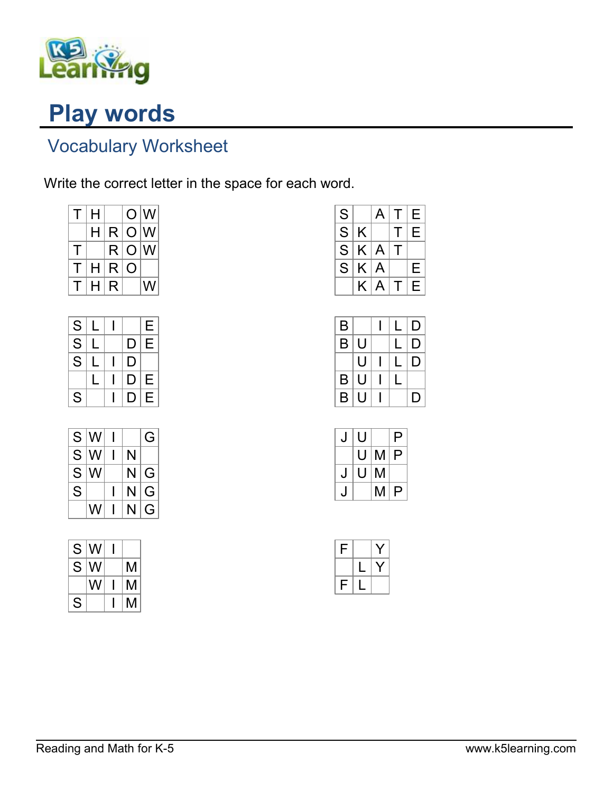

## Play words

## Vocabulary Worksheet

Write the correct letter in the space for each word.

| $\mathsf T$ | H |              |                  | O <sub>N</sub> |
|-------------|---|--------------|------------------|----------------|
|             | н | R            | O                | IW             |
| т           |   | $\mathsf{R}$ | O                | IW             |
| Т           | н | R            | $\left( \right)$ |                |
| Т           | н | R            |                  | W              |

| S                                  |   |   | E |
|------------------------------------|---|---|---|
| S                                  | L | D | E |
| $\overline{\overline{\mathsf{s}}}$ |   | D |   |
|                                    |   | D | Е |
| S                                  |   | D | E |

| S  | lW |   | G |
|----|----|---|---|
| S  | w  | N |   |
| S. | w  | N | G |
| S  |    | N | G |
|    | W  | N | G |

| S | W |   |
|---|---|---|
| S | W | М |
|   | W | М |
| S |   | М |

| S |   | A | Τ            | Е |
|---|---|---|--------------|---|
| S | Κ |   | Τ            | Е |
| S | K | A | $\mathbf{I}$ |   |
| S | K | A |              | Е |
|   | K | A | $\mathsf T$  | E |

| B |   |  | D |
|---|---|--|---|
| B | U |  | D |
|   | U |  | D |
| B | U |  |   |
| B | U |  | D |

| U  |   | P |
|----|---|---|
| U  | M | P |
| IJ | Μ |   |
|    | M | P |